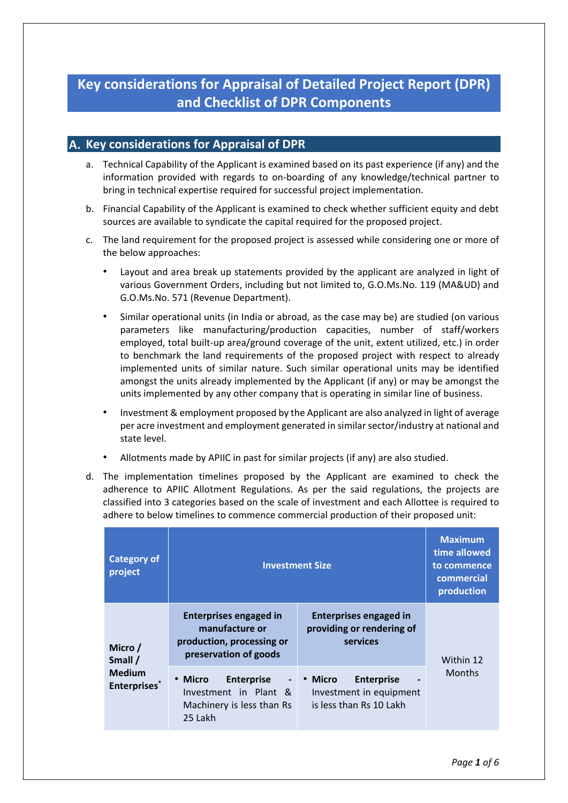# **Key considerations for Appraisal of Detailed Project Report (DPR) and Checklist of DPR Components**

### **A. Key considerations for Appraisal of DPR**

- a. Technical Capability of the Applicant is examined based on its past experience (if any) and the information provided with regards to on-boarding of any knowledge/technical partner to bring in technical expertise required for successful project implementation.
- b. Financial Capability of the Applicant is examined to check whether sufficient equity and debt sources are available to syndicate the capital required for the proposed project.
- c. The land requirement for the proposed project is assessed while considering one or more of the below approaches:
	- Layout and area break up statements provided by the applicant are analyzed in light of various Government Orders, including but not limited to, G.O.Ms.No. 119 (MA&UD) and G.O.Ms.No. 571 (Revenue Department).
	- Similar operational units (in India or abroad, as the case may be) are studied (on various parameters like manufacturing/production capacities, number of staff/workers employed, total built-up area/ground coverage of the unit, extent utilized, etc.) in order to benchmark the land requirements of the proposed project with respect to already implemented units of similar nature. Such similar operational units may be identified amongst the units already implemented by the Applicant (if any) or may be amongst the units implemented by any other company that is operating in similar line of business.
	- Investment & employment proposed by the Applicant are also analyzed in light of average per acre investment and employment generated in similar sector/industry at national and state level.
	- Allotments made by APIIC in past for similar projects (if any) are also studied.
- d. The implementation timelines proposed by the Applicant are examined to check the adherence to APIIC Allotment Regulations. As per the said regulations, the projects are classified into 3 categories based on the scale of investment and each Allottee is required to adhere to below timelines to commence commercial production of their proposed unit:

| <b>Category of</b><br>project                              | <b>Investment Size</b>                                                                                  | <b>Maximum</b><br>time allowed<br>to commence<br>commercial<br>production          |               |
|------------------------------------------------------------|---------------------------------------------------------------------------------------------------------|------------------------------------------------------------------------------------|---------------|
| Micro/<br>Small /<br><b>Medium</b><br><b>Enterprises</b> * | <b>Enterprises engaged in</b><br>manufacture or<br>production, processing or<br>preservation of goods   | <b>Enterprises engaged in</b><br>providing or rendering of<br>services             | Within 12     |
|                                                            | • Micro<br><b>Enterprise</b><br>$\sim$<br>Investment in Plant &<br>Machinery is less than Rs<br>25 Lakh | <b>Enterprise</b><br>• Micro<br>Investment in equipment<br>is less than Rs 10 Lakh | <b>Months</b> |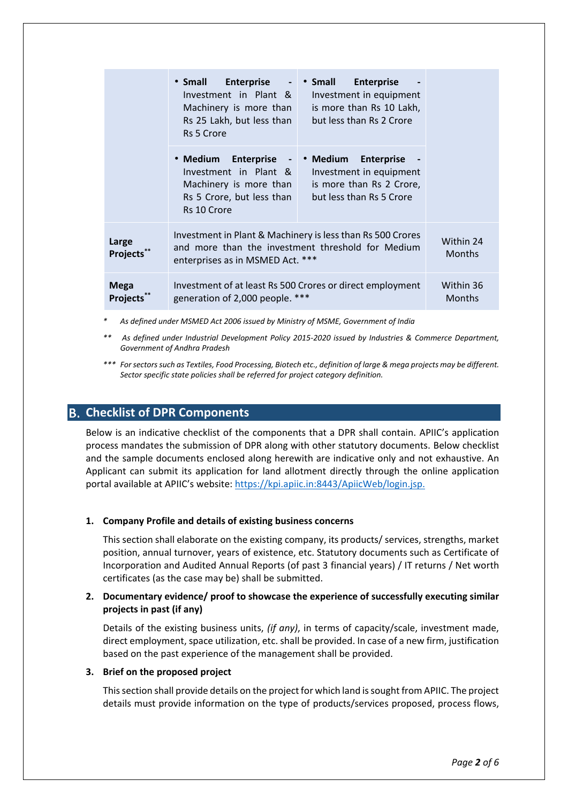|                                | • Small<br><b>Enterprise</b><br>$\sim$<br>Investment in Plant &<br>Machinery is more than<br>Rs 25 Lakh, but less than<br><b>Rs 5 Crore</b>         | • Small<br><b>Enterprise</b><br>Investment in equipment<br>is more than Rs 10 Lakh,<br>but less than Rs 2 Crore  |                            |  |
|--------------------------------|-----------------------------------------------------------------------------------------------------------------------------------------------------|------------------------------------------------------------------------------------------------------------------|----------------------------|--|
|                                | • Medium<br>Enterprise -<br>Investment in Plant &<br>Machinery is more than<br>Rs 5 Crore, but less than<br>Rs 10 Crore                             | • Medium<br><b>Enterprise</b><br>Investment in equipment<br>is more than Rs 2 Crore,<br>but less than Rs 5 Crore |                            |  |
| Large<br>Projects**            | Investment in Plant & Machinery is less than Rs 500 Crores<br>and more than the investment threshold for Medium<br>enterprises as in MSMED Act. *** |                                                                                                                  | Within 24<br><b>Months</b> |  |
| <b>Mega</b><br><b>Projects</b> | Investment of at least Rs 500 Crores or direct employment<br>generation of 2,000 people. ***                                                        |                                                                                                                  | Within 36<br><b>Months</b> |  |

- *\* As defined under MSMED Act 2006 issued by Ministry of MSME, Government of India*
- *\*\* As defined under Industrial Development Policy 2015-2020 issued by Industries & Commerce Department, Government of Andhra Pradesh*
- *\*\*\* For sectors such as Textiles, Food Processing, Biotech etc., definition of large & mega projects may be different. Sector specific state policies shall be referred for project category definition.*

### **Checklist of DPR Components**

Below is an indicative checklist of the components that a DPR shall contain. APIIC's application process mandates the submission of DPR along with other statutory documents. Below checklist and the sample documents enclosed along herewith are indicative only and not exhaustive. An Applicant can submit its application for land allotment directly through the online application portal available at APIIC's website: [https://kpi.apiic.in:8443/ApiicWeb/login.jsp.](https://kpi.apiic.in:8443/ApiicWeb/login.jsp)

### **1. Company Profile and details of existing business concerns**

This section shall elaborate on the existing company, its products/ services, strengths, market position, annual turnover, years of existence, etc. Statutory documents such as Certificate of Incorporation and Audited Annual Reports (of past 3 financial years) / IT returns / Net worth certificates (as the case may be) shall be submitted.

#### **2. Documentary evidence/ proof to showcase the experience of successfully executing similar projects in past (if any)**

Details of the existing business units, *(if any)*, in terms of capacity/scale, investment made, direct employment, space utilization, etc. shall be provided. In case of a new firm, justification based on the past experience of the management shall be provided.

#### **3. Brief on the proposed project**

This section shall provide details on the project for which land is sought from APIIC. The project details must provide information on the type of products/services proposed, process flows,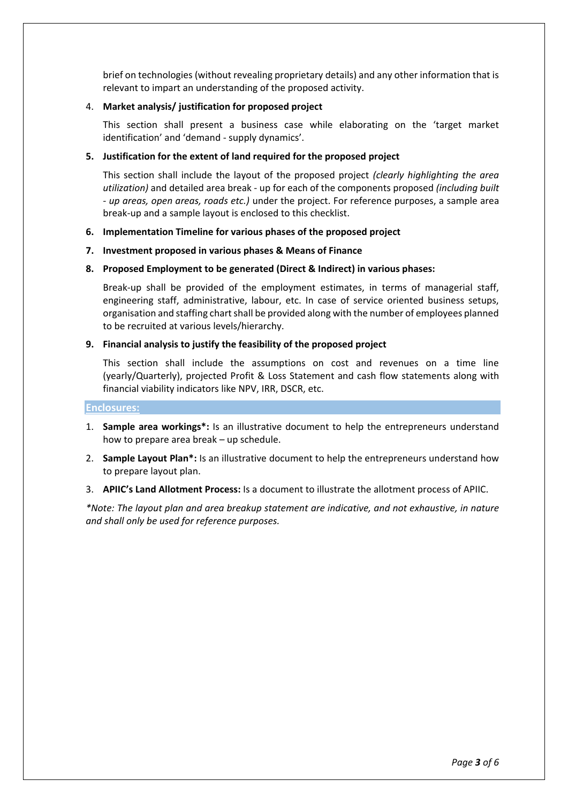brief on technologies (without revealing proprietary details) and any other information that is relevant to impart an understanding of the proposed activity.

#### 4. **Market analysis/ justification for proposed project**

This section shall present a business case while elaborating on the 'target market identification' and 'demand - supply dynamics'.

#### **5. Justification for the extent of land required for the proposed project**

This section shall include the layout of the proposed project *(clearly highlighting the area utilization)* and detailed area break - up for each of the components proposed *(including built - up areas, open areas, roads etc.)* under the project. For reference purposes, a sample area break-up and a sample layout is enclosed to this checklist.

#### **6. Implementation Timeline for various phases of the proposed project**

**7. Investment proposed in various phases & Means of Finance**

#### **8. Proposed Employment to be generated (Direct & Indirect) in various phases:**

Break-up shall be provided of the employment estimates, in terms of managerial staff, engineering staff, administrative, labour, etc. In case of service oriented business setups, organisation and staffing chart shall be provided along with the number of employees planned to be recruited at various levels/hierarchy.

#### **9. Financial analysis to justify the feasibility of the proposed project**

This section shall include the assumptions on cost and revenues on a time line (yearly/Quarterly), projected Profit & Loss Statement and cash flow statements along with financial viability indicators like NPV, IRR, DSCR, etc.

#### **Enclosures:**

- 1. **Sample area workings\*:** Is an illustrative document to help the entrepreneurs understand how to prepare area break – up schedule.
- 2. **Sample Layout Plan\*:** Is an illustrative document to help the entrepreneurs understand how to prepare layout plan.
- 3. **APIIC's Land Allotment Process:** Is a document to illustrate the allotment process of APIIC.

*\*Note: The layout plan and area breakup statement are indicative, and not exhaustive, in nature and shall only be used for reference purposes.*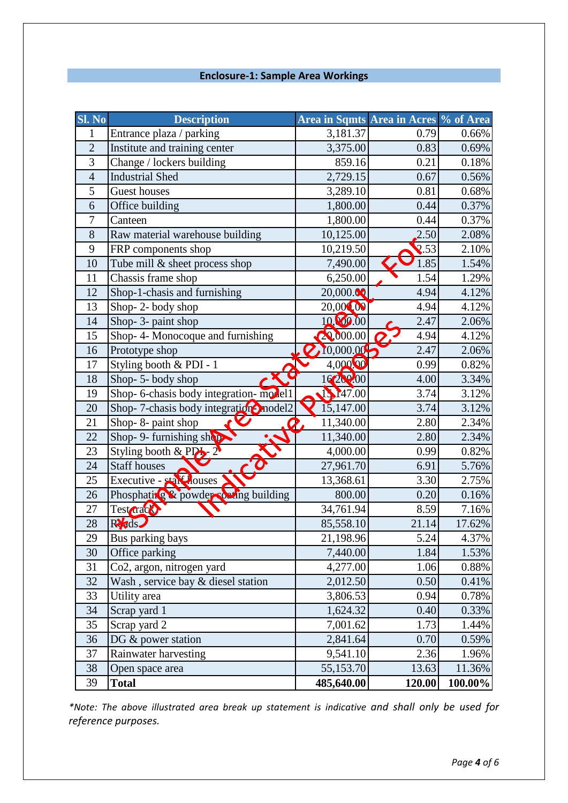## **Enclosure-1: Sample Area Workings**

| Sl. No         | <b>Description</b>                     | Area in Sqmts Area in Acres % of Area |              |         |
|----------------|----------------------------------------|---------------------------------------|--------------|---------|
| 1              | Entrance plaza / parking               | 3,181.37                              | 0.79         | 0.66%   |
| $\overline{2}$ | Institute and training center          | 3,375.00                              | 0.83         | 0.69%   |
| 3              | Change / lockers building              | 859.16                                | 0.21         | 0.18%   |
| $\overline{4}$ | <b>Industrial Shed</b>                 | 2,729.15                              | 0.67         | 0.56%   |
| 5              | <b>Guest houses</b>                    | 3,289.10                              | 0.81         | 0.68%   |
| 6              | Office building                        | 1,800.00                              | 0.44         | 0.37%   |
| 7              | Canteen                                | 1,800.00                              | 0.44         | 0.37%   |
| 8              | Raw material warehouse building        | 10,125.00                             | 2.50         | 2.08%   |
| 9              | FRP components shop                    | 10,219.50                             | $\sqrt{.53}$ | 2.10%   |
| 10             | Tube mill & sheet process shop         | 7,490.00                              | 1.85         | 1.54%   |
| 11             | Chassis frame shop                     | 6,250.00                              | 1.54         | 1.29%   |
| 12             | Shop-1-chasis and furnishing           | 20,000.00                             | 4.94         | 4.12%   |
| 13             | Shop-2-body shop                       | 20,000,00                             | 4.94         | 4.12%   |
| 14             | Shop- 3- paint shop                    | 10,000.00                             | 2.47         | 2.06%   |
| 15             | Shop-4- Monocoque and furnishing       | 20,000.00                             | 4.94         | 4.12%   |
| 16             | Prototype shop                         | 10,000.00                             | 2.47         | 2.06%   |
| 17             | Styling booth & PDI - 1                | 4,000.00                              | 0.99         | 0.82%   |
| 18             | Shop-5-body shop                       | 16202.00                              | 4.00         | 3.34%   |
| 19             | Shop- 6-chasis body integration-model1 | 1.147.00                              | 3.74         | 3.12%   |
| 20             | Shop-7-chasis body integration-model2  | 15,147.00                             | 3.74         | 3.12%   |
| 21             | Shop-8- paint shop                     | 11,340.00                             | 2.80         | 2.34%   |
| 22             | Shop- 9- furnishing shop               | 11,340.00                             | 2.80         | 2.34%   |
| 23             | Styling booth & $PP_2$ 2               | 4,000.00                              | 0.99         | 0.82%   |
| 24             | <b>Staff houses</b>                    | 27,961.70                             | 6.91         | 5.76%   |
| 25             | Executive - state louses               | 13,368.61                             | 3.30         | 2.75%   |
| 26             | Phosphating & powder coning building   | 800.00                                | 0.20         | 0.16%   |
| 27             | Test drack                             | 34,761.94                             | 8.59         | 7.16%   |
| 28             | Reds                                   | 85,558.10                             | 21.14        | 17.62%  |
| 29             | Bus parking bays                       | 21,198.96                             | 5.24         | 4.37%   |
| 30             | Office parking                         | 7,440.00                              | 1.84         | 1.53%   |
| 31             | Co2, argon, nitrogen yard              | 4,277.00                              | 1.06         | 0.88%   |
| 32             | Wash, service bay & diesel station     | 2,012.50                              | 0.50         | 0.41%   |
| 33             | Utility area                           | 3,806.53                              | 0.94         | 0.78%   |
| 34             | Scrap yard 1                           | 1,624.32                              | 0.40         | 0.33%   |
| 35             | Scrap yard 2                           | 7,001.62                              | 1.73         | 1.44%   |
| 36             | DG & power station                     | 2,841.64                              | 0.70         | 0.59%   |
| 37             | Rainwater harvesting                   | 9,541.10                              | 2.36         | 1.96%   |
| 38             | Open space area                        | 55,153.70                             | 13.63        | 11.36%  |
| 39             | <b>Total</b>                           | 485,640.00                            | 120.00       | 100.00% |

*\*Note: The above illustrated area break up statement is indicative and shall only be used for reference purposes.*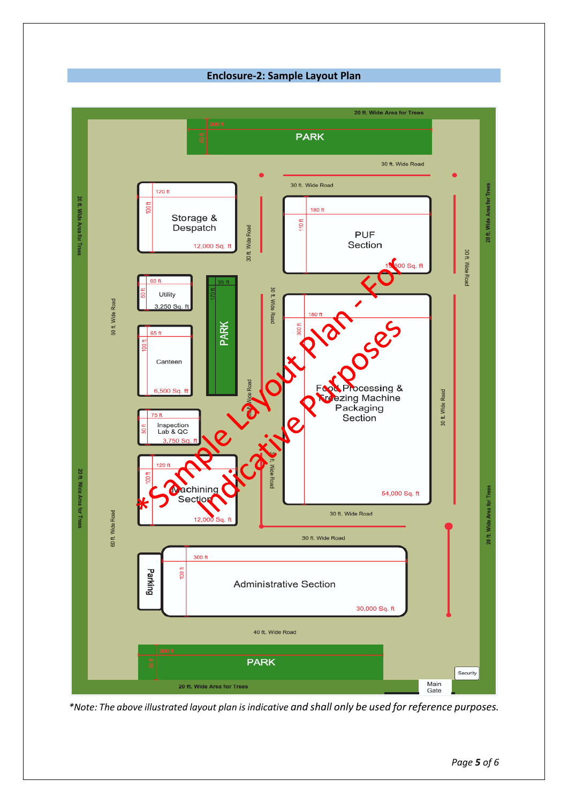**Enclosure-2: Sample Layout Plan**



*\*Note: The above illustrated layout plan is indicative and shall only be used for reference purposes.*